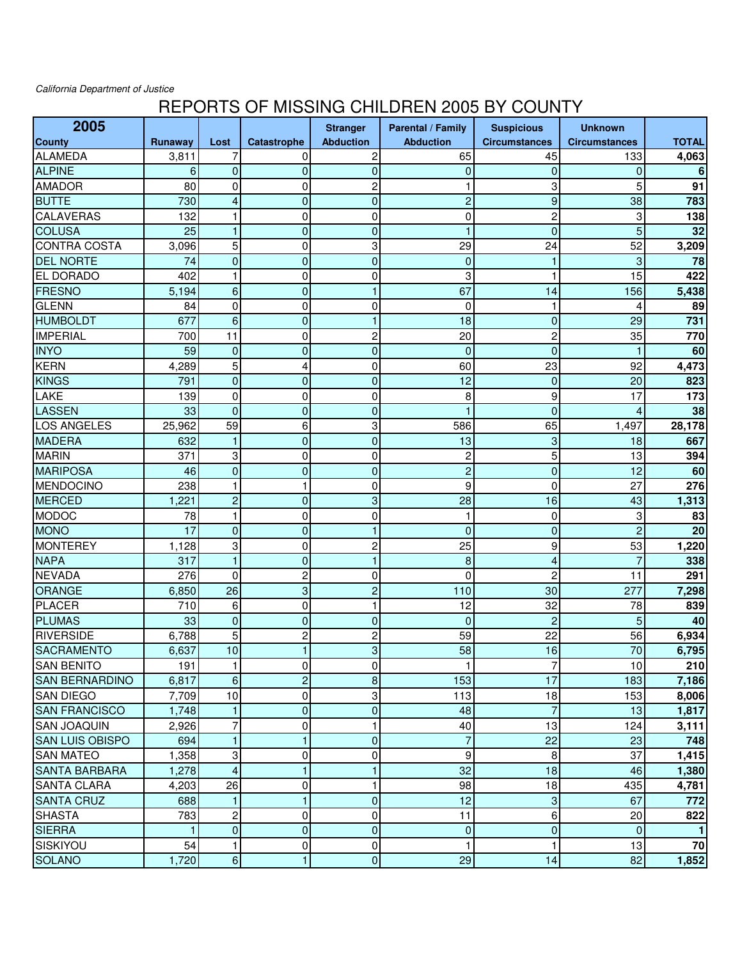California Department of Justice

## REPORTS OF MISSING CHILDREN 2005 BY COUNTY

| 2005                   |              |                         |                    | <b>Stranger</b>  | Parental / Family | <b>Suspicious</b>    | <b>Unknown</b>       |              |
|------------------------|--------------|-------------------------|--------------------|------------------|-------------------|----------------------|----------------------|--------------|
| <b>County</b>          | Runaway      | Lost                    | <b>Catastrophe</b> | <b>Abduction</b> | <b>Abduction</b>  | <b>Circumstances</b> | <b>Circumstances</b> | <b>TOTAL</b> |
| <b>ALAMEDA</b>         | 3,811        | 7                       | 0                  | 2                | 65                | 45                   | 133                  | 4,063        |
| <b>ALPINE</b>          | 6            | $\mathbf 0$             | 0                  | $\overline{0}$   | $\pmb{0}$         | $\mathbf 0$          | $\overline{0}$       | 6            |
| <b>AMADOR</b>          | 80           | $\mathbf 0$             | 0                  | 2                | 1                 | 3                    | 5                    | 91           |
| <b>BUTTE</b>           | 730          | 4                       | $\mathbf 0$        | 0                | $\overline{c}$    | 9                    | 38                   | 783          |
| <b>CALAVERAS</b>       | 132          | 1                       | 0                  | 0                | 0                 | $\overline{c}$       | 3                    | 138          |
| <b>COLUSA</b>          | 25           | $\mathbf{1}$            | $\mathbf 0$        | 0                | $\mathbf{1}$      | $\mathbf 0$          | 5                    | 32           |
| <b>CONTRA COSTA</b>    | 3,096        | $\overline{5}$          | $\mathbf 0$        | 3                | 29                | 24                   | 52                   | 3,209        |
| <b>DEL NORTE</b>       | 74           | $\pmb{0}$               | $\mathbf 0$        | $\overline{0}$   | $\pmb{0}$         | $\mathbf{1}$         | 3                    | 78           |
| <b>EL DORADO</b>       | 402          | $\mathbf{1}$            | 0                  | 0                | 3                 | $\mathbf{1}$         | 15                   | 422          |
| FRESNO                 | 5,194        | $\,6\,$                 | $\mathbf 0$        | $\mathbf{1}$     | 67                | 14                   | 156                  | 5,438        |
| <b>GLENN</b>           | 84           | $\pmb{0}$               | 0                  | 0                | $\mathbf 0$       | $\mathbf{1}$         | $\overline{4}$       | 89           |
| <b>HUMBOLDT</b>        | 677          | $6\phantom{1}6$         | $\mathbf 0$        | 1                | 18                | $\mathbf 0$          | 29                   | 731          |
| <b>IMPERIAL</b>        | 700          | 11                      | 0                  | $\overline{c}$   | 20                | $\overline{c}$       | 35                   | 770          |
| <b>INYO</b>            | 59           | $\pmb{0}$               | $\mathbf 0$        | $\overline{0}$   | $\mathbf 0$       | $\mathbf 0$          |                      | 60           |
| <b>KERN</b>            | 4,289        | 5                       | 4                  | 0                | 60                | 23                   | 92                   | 4,473        |
| <b>KINGS</b>           | 791          | $\pmb{0}$               | $\mathbf 0$        | $\overline{0}$   | 12                | $\mathbf 0$          | 20                   | 823          |
| LAKE                   | 139          | 0                       | 0                  | 0                | 8                 | 9                    | 17                   | 173          |
| LASSEN                 | 33           | $\mathbf 0$             | $\mathbf 0$        | $\overline{0}$   | $\mathbf{1}$      | $\overline{0}$       | 4                    | 38           |
| <b>LOS ANGELES</b>     | 25,962       | 59                      | 6                  | 3                | 586               | 65                   | 1,497                | 28,178       |
| <b>MADERA</b>          | 632          | $\mathbf{1}$            | $\mathbf 0$        | $\mathbf 0$      | 13                | 3                    | 18                   | 667          |
| <b>MARIN</b>           | 371          | 3                       | 0                  | 0                | $\overline{c}$    | 5                    | 13                   | 394          |
| <b>MARIPOSA</b>        | 46           | $\pmb{0}$               | $\mathbf 0$        | 0                | $\overline{c}$    | $\overline{0}$       | 12                   | 60           |
| MENDOCINO              | 238          | $\mathbf{1}$            | $\mathbf{1}$       | 0                | 9                 | $\mathbf 0$          | 27                   | 276          |
| <b>MERCED</b>          | 1,221        | $\overline{c}$          | $\mathbf 0$        | 3                | 28                | 16                   | 43                   | 1,313        |
| <b>MODOC</b>           | 78           | $\mathbf{1}$            | 0                  | 0                | $\mathbf{1}$      | 0                    | 3                    | 83           |
| <b>MONO</b>            | 17           | $\pmb{0}$               | $\mathbf 0$        | 1                | $\mathbf{0}$      | $\overline{0}$       | $\overline{c}$       | 20           |
| <b>MONTEREY</b>        | 1,128        | 3                       | 0                  | $\overline{c}$   | 25                | 9                    | 53                   | 1,220        |
| <b>NAPA</b>            | 317          | $\mathbf{1}$            | $\overline{0}$     | 1                | 8                 | $\overline{4}$       | $\overline{7}$       | 338          |
| <b>NEVADA</b>          | 276          | $\mathbf 0$             | $\overline{c}$     | 0                | $\mathbf 0$       | $\overline{c}$       | 11                   | 291          |
| ORANGE                 | 6,850        | 26                      | 3                  | $\overline{c}$   | 110               | 30                   | 277                  | 7,298        |
| <b>PLACER</b>          | 710          | 6                       | 0                  | 1                | 12                | 32                   | 78                   | 839          |
| <b>PLUMAS</b>          | 33           | $\mathbf 0$             | $\overline{0}$     | $\overline{0}$   | $\mathbf 0$       | $\overline{2}$       | 5                    | 40           |
| <b>RIVERSIDE</b>       | 6,788        | 5                       | $\overline{c}$     | 2                | 59                | 22                   | 56                   | 6,934        |
| <b>SACRAMENTO</b>      | 6,637        | 10                      | $\mathbf{1}$       | 3                | 58                | 16                   | 70                   | 6,795        |
| <b>SAN BENITO</b>      | 191          | $\mathbf{1}$            | 0                  | 0                | 1                 | $\overline{7}$       | 10                   | 210          |
| <b>SAN BERNARDINO</b>  | 6,817        | 6                       | $\overline{c}$     | 8                | 153               | 17                   | 183                  | 7,186        |
| <b>SAN DIEGO</b>       | 7,709        | 10                      | 0                  | 3                | 113               | 18                   | 153                  | 8,006        |
| <b>SAN FRANCISCO</b>   | 1,748        | $\mathbf{1}$            | $\mathbf 0$        | $\pmb{0}$        | 48                | $\overline{7}$       | 13                   | 1,817        |
| <b>SAN JOAQUIN</b>     | 2,926        | $\overline{7}$          | 0                  | 1                | 40                | 13                   | 124                  | 3,111        |
| <b>SAN LUIS OBISPO</b> | 694          | $\mathbf{1}$            | $\mathbf{1}$       | 0                | $\overline{7}$    | 22                   | 23                   | 748          |
| <b>SAN MATEO</b>       | 1,358        | 3                       | 0                  | 0                | 9                 | 8                    | 37                   | 1,415        |
| <b>SANTA BARBARA</b>   | 1,278        | $\overline{\mathbf{4}}$ | $\mathbf{1}$       | 1                | 32                | 18                   | 46                   | 1,380        |
| <b>SANTA CLARA</b>     | 4,203        | 26                      | 0                  | 1                | 98                | 18                   | 435                  | 4,781        |
| <b>SANTA CRUZ</b>      | 688          | $\mathbf{1}$            | $\blacksquare$     | $\mathbf 0$      | 12                | $\mathbf{3}$         | 67                   | 772          |
| <b>SHASTA</b>          | 783          | $\overline{c}$          | 0                  | 0                | 11                | $6 \overline{6}$     | 20                   | 822          |
| <b>SIERRA</b>          | $\mathbf{1}$ | $\pmb{0}$               | $\mathbf 0$        | $\mathbf 0$      | $\overline{0}$    | $\overline{0}$       | $\mathbf{0}$         | 1            |
| SISKIYOU               | 54           | 1                       | 0                  | 0                | $\mathbf{1}$      | 1                    | 13                   | 70           |
| <b>SOLANO</b>          | 1,720        | $\boldsymbol{6}$        | $\mathbf{1}$       | $\mathbf{0}$     | 29                | 14                   | 82                   | 1,852        |